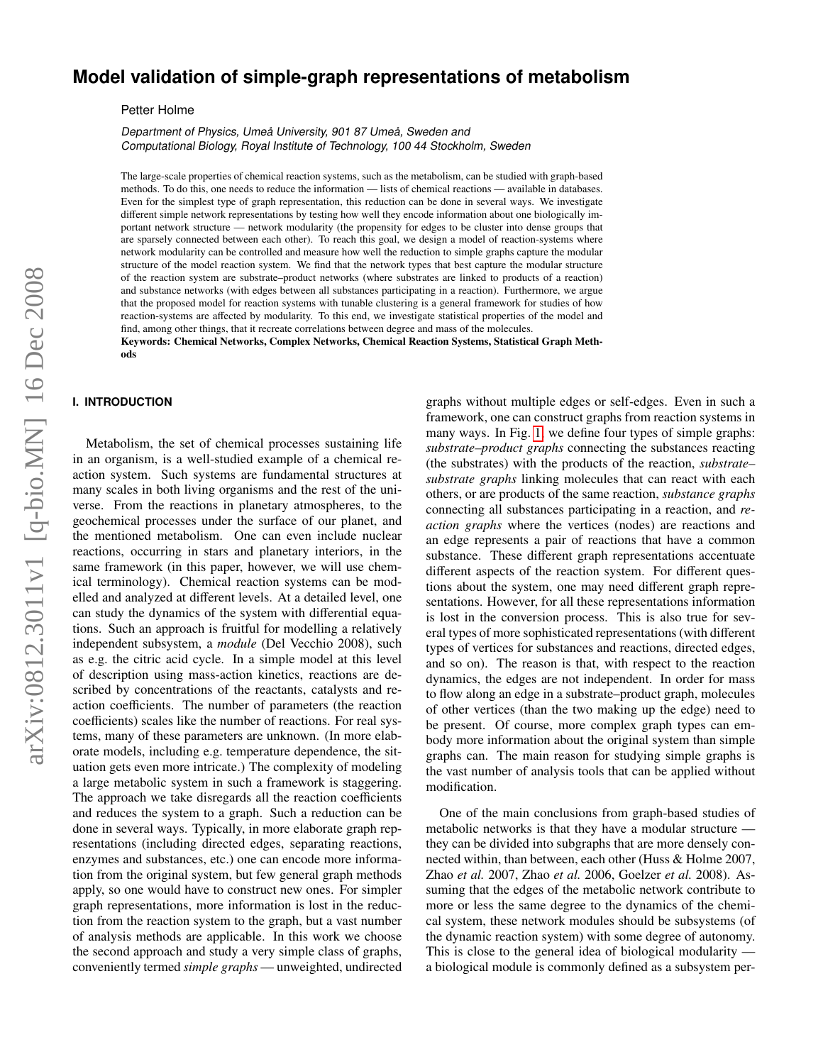# **Model validation of simple-graph representations of metabolism**

Petter Holme

Department of Physics, Umeå University, 901 87 Umeå, Sweden and Computational Biology, Royal Institute of Technology, 100 44 Stockholm, Sweden

The large-scale properties of chemical reaction systems, such as the metabolism, can be studied with graph-based methods. To do this, one needs to reduce the information — lists of chemical reactions — available in databases. Even for the simplest type of graph representation, this reduction can be done in several ways. We investigate different simple network representations by testing how well they encode information about one biologically important network structure — network modularity (the propensity for edges to be cluster into dense groups that are sparsely connected between each other). To reach this goal, we design a model of reaction-systems where network modularity can be controlled and measure how well the reduction to simple graphs capture the modular structure of the model reaction system. We find that the network types that best capture the modular structure of the reaction system are substrate–product networks (where substrates are linked to products of a reaction) and substance networks (with edges between all substances participating in a reaction). Furthermore, we argue that the proposed model for reaction systems with tunable clustering is a general framework for studies of how reaction-systems are affected by modularity. To this end, we investigate statistical properties of the model and find, among other things, that it recreate correlations between degree and mass of the molecules.

Keywords: Chemical Networks, Complex Networks, Chemical Reaction Systems, Statistical Graph Methods

## **I. INTRODUCTION**

Metabolism, the set of chemical processes sustaining life in an organism, is a well-studied example of a chemical reaction system. Such systems are fundamental structures at many scales in both living organisms and the rest of the universe. From the reactions in planetary atmospheres, to the geochemical processes under the surface of our planet, and the mentioned metabolism. One can even include nuclear reactions, occurring in stars and planetary interiors, in the same framework (in this paper, however, we will use chemical terminology). Chemical reaction systems can be modelled and analyzed at different levels. At a detailed level, one can study the dynamics of the system with differential equations. Such an approach is fruitful for modelling a relatively independent subsystem, a *module* (Del Vecchio 2008), such as e.g. the citric acid cycle. In a simple model at this level of description using mass-action kinetics, reactions are described by concentrations of the reactants, catalysts and reaction coefficients. The number of parameters (the reaction coefficients) scales like the number of reactions. For real systems, many of these parameters are unknown. (In more elaborate models, including e.g. temperature dependence, the situation gets even more intricate.) The complexity of modeling a large metabolic system in such a framework is staggering. The approach we take disregards all the reaction coefficients and reduces the system to a graph. Such a reduction can be done in several ways. Typically, in more elaborate graph representations (including directed edges, separating reactions, enzymes and substances, etc.) one can encode more information from the original system, but few general graph methods apply, so one would have to construct new ones. For simpler graph representations, more information is lost in the reduction from the reaction system to the graph, but a vast number of analysis methods are applicable. In this work we choose the second approach and study a very simple class of graphs, conveniently termed *simple graphs* — unweighted, undirected graphs without multiple edges or self-edges. Even in such a framework, one can construct graphs from reaction systems in many ways. In Fig. [1,](#page-1-0) we define four types of simple graphs: *substrate–product graphs* connecting the substances reacting (the substrates) with the products of the reaction, *substrate– substrate graphs* linking molecules that can react with each others, or are products of the same reaction, *substance graphs* connecting all substances participating in a reaction, and *reaction graphs* where the vertices (nodes) are reactions and an edge represents a pair of reactions that have a common substance. These different graph representations accentuate different aspects of the reaction system. For different questions about the system, one may need different graph representations. However, for all these representations information is lost in the conversion process. This is also true for several types of more sophisticated representations (with different types of vertices for substances and reactions, directed edges, and so on). The reason is that, with respect to the reaction dynamics, the edges are not independent. In order for mass to flow along an edge in a substrate–product graph, molecules of other vertices (than the two making up the edge) need to be present. Of course, more complex graph types can embody more information about the original system than simple graphs can. The main reason for studying simple graphs is the vast number of analysis tools that can be applied without modification.

One of the main conclusions from graph-based studies of metabolic networks is that they have a modular structure they can be divided into subgraphs that are more densely connected within, than between, each other (Huss & Holme 2007, Zhao *et al.* 2007, Zhao *et al.* 2006, Goelzer *et al.* 2008). Assuming that the edges of the metabolic network contribute to more or less the same degree to the dynamics of the chemical system, these network modules should be subsystems (of the dynamic reaction system) with some degree of autonomy. This is close to the general idea of biological modularity a biological module is commonly defined as a subsystem per-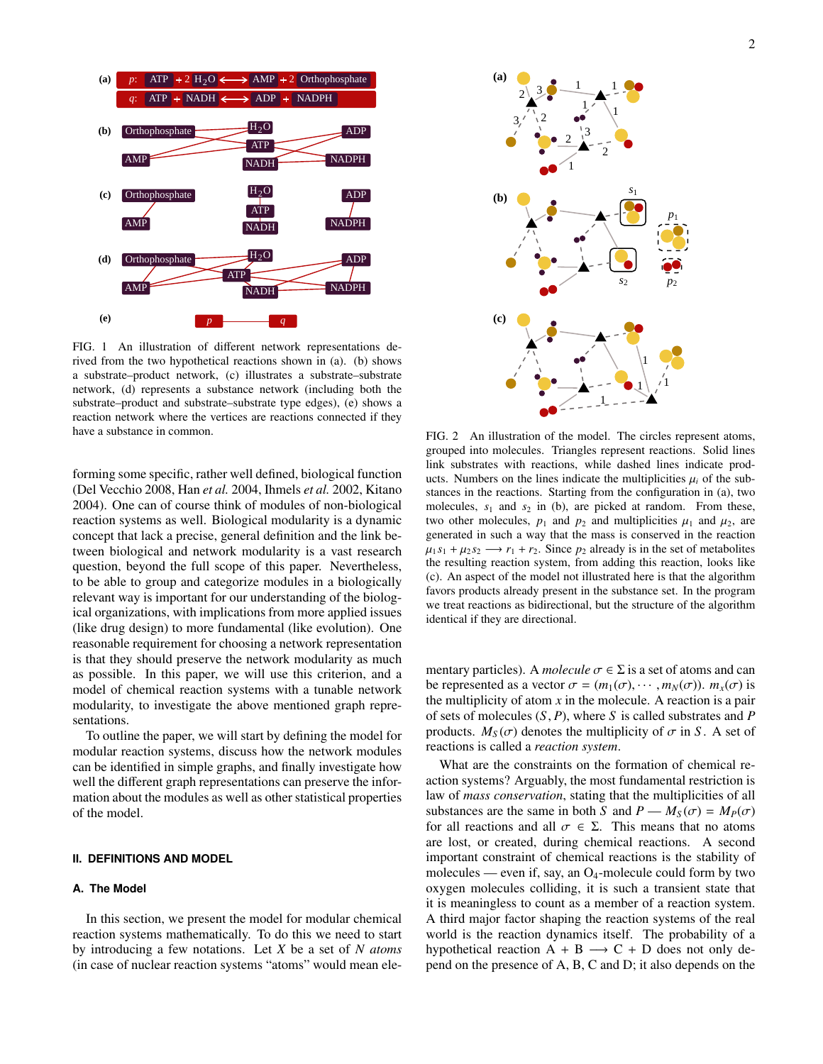

<span id="page-1-0"></span>FIG. 1 An illustration of different network representations derived from the two hypothetical reactions shown in (a). (b) shows a substrate–product network, (c) illustrates a substrate–substrate network, (d) represents a substance network (including both the substrate–product and substrate–substrate type edges), (e) shows a reaction network where the vertices are reactions connected if they have a substance in common.

forming some specific, rather well defined, biological function (Del Vecchio 2008, Han *et al.* 2004, Ihmels *et al.* 2002, Kitano 2004). One can of course think of modules of non-biological reaction systems as well. Biological modularity is a dynamic concept that lack a precise, general definition and the link between biological and network modularity is a vast research question, beyond the full scope of this paper. Nevertheless, to be able to group and categorize modules in a biologically relevant way is important for our understanding of the biological organizations, with implications from more applied issues (like drug design) to more fundamental (like evolution). One reasonable requirement for choosing a network representation is that they should preserve the network modularity as much as possible. In this paper, we will use this criterion, and a model of chemical reaction systems with a tunable network modularity, to investigate the above mentioned graph representations.

To outline the paper, we will start by defining the model for modular reaction systems, discuss how the network modules can be identified in simple graphs, and finally investigate how well the different graph representations can preserve the information about the modules as well as other statistical properties of the model.

## **II. DEFINITIONS AND MODEL**

## **A. The Model**

In this section, we present the model for modular chemical reaction systems mathematically. To do this we need to start by introducing a few notations. Let *X* be a set of *N atoms* (in case of nuclear reaction systems "atoms" would mean ele-



<span id="page-1-1"></span>FIG. 2 An illustration of the model. The circles represent atoms, grouped into molecules. Triangles represent reactions. Solid lines link substrates with reactions, while dashed lines indicate products. Numbers on the lines indicate the multiplicities  $\mu_i$  of the substances in the reactions. Starting from the configuration in (a), two molecules,  $s_1$  and  $s_2$  in (b), are picked at random. From these, two other molecules,  $p_1$  and  $p_2$  and multiplicities  $\mu_1$  and  $\mu_2$ , are generated in such a way that the mass is conserved in the reaction  $\mu_1 s_1 + \mu_2 s_2 \longrightarrow r_1 + r_2$ . Since  $p_2$  already is in the set of metabolites the resulting reaction system, from adding this reaction, looks like (c). An aspect of the model not illustrated here is that the algorithm favors products already present in the substance set. In the program we treat reactions as bidirectional, but the structure of the algorithm identical if they are directional.

mentary particles). A *molecule*  $\sigma \in \Sigma$  is a set of atoms and can be represented as a vector  $\sigma = (m_1(\sigma), \cdots, m_N(\sigma))$ .  $m_x(\sigma)$  is the multiplicity of atom  $x$  in the molecule. A reaction is a pair of sets of molecules (*S*, *P*), where *S* is called substrates and *P* products.  $M_S(\sigma)$  denotes the multiplicity of  $\sigma$  in *S*. A set of reactions is called a *reaction system*.

What are the constraints on the formation of chemical reaction systems? Arguably, the most fundamental restriction is law of *mass conservation*, stating that the multiplicities of all substances are the same in both *S* and  $P - M_S(\sigma) = M_P(\sigma)$ for all reactions and all  $\sigma \in \Sigma$ . This means that no atoms are lost, or created, during chemical reactions. A second important constraint of chemical reactions is the stability of molecules — even if, say, an  $O_4$ -molecule could form by two oxygen molecules colliding, it is such a transient state that it is meaningless to count as a member of a reaction system. A third major factor shaping the reaction systems of the real world is the reaction dynamics itself. The probability of a hypothetical reaction  $A + B \longrightarrow C + D$  does not only depend on the presence of A, B, C and D; it also depends on the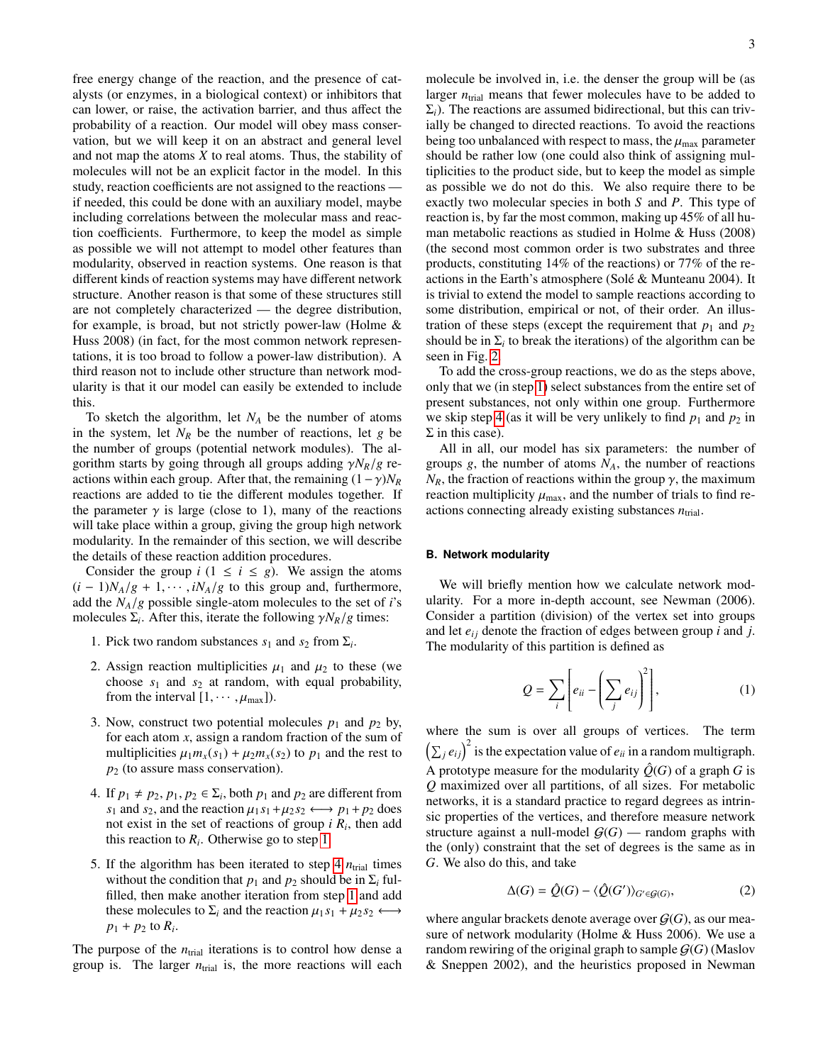free energy change of the reaction, and the presence of catalysts (or enzymes, in a biological context) or inhibitors that can lower, or raise, the activation barrier, and thus affect the probability of a reaction. Our model will obey mass conservation, but we will keep it on an abstract and general level and not map the atoms *X* to real atoms. Thus, the stability of molecules will not be an explicit factor in the model. In this study, reaction coefficients are not assigned to the reactions if needed, this could be done with an auxiliary model, maybe including correlations between the molecular mass and reaction coefficients. Furthermore, to keep the model as simple as possible we will not attempt to model other features than modularity, observed in reaction systems. One reason is that different kinds of reaction systems may have different network structure. Another reason is that some of these structures still are not completely characterized — the degree distribution, for example, is broad, but not strictly power-law (Holme & Huss 2008) (in fact, for the most common network representations, it is too broad to follow a power-law distribution). A third reason not to include other structure than network modularity is that it our model can easily be extended to include this.

To sketch the algorithm, let *N<sup>A</sup>* be the number of atoms in the system, let  $N_R$  be the number of reactions, let  $g$  be the number of groups (potential network modules). The algorithm starts by going through all groups adding  $\gamma N_R/g$  reactions within each group. After that, the remaining  $(1 - \gamma)N_R$ reactions are added to tie the different modules together. If the parameter  $\gamma$  is large (close to 1), many of the reactions will take place within a group, giving the group high network modularity. In the remainder of this section, we will describe the details of these reaction addition procedures.

Consider the group  $i$  ( $1 \le i \le g$ ). We assign the atoms  $(i - 1)N_A/g + 1, \cdots, iN_A/g$  to this group and, furthermore, add the  $N_A/g$  possible single-atom molecules to the set of *i*'s molecules  $\Sigma_i$ . After this, iterate the following  $\gamma N_R/g$  times:

- <span id="page-2-0"></span>1. Pick two random substances  $s_1$  and  $s_2$  from  $\Sigma_i$ .
- 2. Assign reaction multiplicities  $\mu_1$  and  $\mu_2$  to these (we choose  $s_1$  and  $s_2$  at random, with equal probability, from the interval  $[1, \cdots, \mu_{\text{max}}]$ ).
- 3. Now, construct two potential molecules  $p_1$  and  $p_2$  by, for each atom *x*, assign a random fraction of the sum of multiplicities  $\mu_1 m_x(s_1) + \mu_2 m_x(s_2)$  to  $p_1$  and the rest to *p*<sup>2</sup> (to assure mass conservation).
- <span id="page-2-1"></span>4. If  $p_1 \neq p_2, p_1, p_2 \in \Sigma_i$ , both  $p_1$  and  $p_2$  are different from *s*<sub>1</sub> and *s*<sub>2</sub>, and the reaction  $\mu_1 s_1 + \mu_2 s_2 \longleftrightarrow p_1 + p_2$  does not exist in the set of reactions of group *i R<sup>i</sup>* , then add this reaction to  $R_i$ . Otherwise go to step [1.](#page-2-0)
- 5. If the algorithm has been iterated to step [4](#page-2-1)  $n_{trial}$  times without the condition that  $p_1$  and  $p_2$  should be in  $\Sigma_i$  fulfilled, then make another iteration from step [1](#page-2-0) and add these molecules to  $\Sigma_i$  and the reaction  $\mu_1 s_1 + \mu_2 s_2 \longleftrightarrow$  $p_1 + p_2$  to  $R_i$ .

The purpose of the  $n_{trial}$  iterations is to control how dense a group is. The larger  $n<sub>trial</sub>$  is, the more reactions will each

molecule be involved in, i.e. the denser the group will be (as larger  $n_{trial}$  means that fewer molecules have to be added to  $\Sigma_i$ ). The reactions are assumed bidirectional, but this can trivially be changed to directed reactions. To avoid the reactions being too unbalanced with respect to mass, the  $\mu_{\text{max}}$  parameter should be rather low (one could also think of assigning multiplicities to the product side, but to keep the model as simple as possible we do not do this. We also require there to be exactly two molecular species in both *S* and *P*. This type of reaction is, by far the most common, making up 45% of all human metabolic reactions as studied in Holme & Huss (2008) (the second most common order is two substrates and three products, constituting 14% of the reactions) or 77% of the reactions in the Earth's atmosphere (Solé & Munteanu 2004). It is trivial to extend the model to sample reactions according to some distribution, empirical or not, of their order. An illustration of these steps (except the requirement that  $p_1$  and  $p_2$ ) should be in  $\Sigma_i$  to break the iterations) of the algorithm can be seen in Fig. [2.](#page-1-1)

To add the cross-group reactions, we do as the steps above, only that we (in step [1\)](#page-2-0) select substances from the entire set of present substances, not only within one group. Furthermore we skip step [4](#page-2-1) (as it will be very unlikely to find  $p_1$  and  $p_2$  in  $\Sigma$  in this case).

All in all, our model has six parameters: the number of groups *g*, the number of atoms *NA*, the number of reactions  $N_R$ , the fraction of reactions within the group  $\gamma$ , the maximum reaction multiplicity  $\mu_{\text{max}}$ , and the number of trials to find reactions connecting already existing substances  $n_{trial}$ .

# **B. Network modularity**

We will briefly mention how we calculate network modularity. For a more in-depth account, see Newman (2006). Consider a partition (division) of the vertex set into groups and let  $e_{ij}$  denote the fraction of edges between group *i* and *j*. The modularity of this partition is defined as

<span id="page-2-2"></span>
$$
Q = \sum_{i} \left[ e_{ii} - \left( \sum_{j} e_{ij} \right)^2 \right],
$$
 (1)

where the sum is over all groups of vertices. The term  $\left(\sum_j e_{ij}\right)^2$  is the expectation value of  $e_{ii}$  in a random multigraph. A prototype measure for the modularity  $\hat{Q}(G)$  of a graph *G* is *Q* maximized over all partitions, of all sizes. For metabolic networks, it is a standard practice to regard degrees as intrinsic properties of the vertices, and therefore measure network structure against a null-model  $G(G)$  — random graphs with the (only) constraint that the set of degrees is the same as in *G*. We also do this, and take

$$
\Delta(G) = \hat{Q}(G) - \langle \hat{Q}(G') \rangle_{G' \in \mathcal{G}(G)},\tag{2}
$$

where angular brackets denote average over  $G(G)$ , as our measure of network modularity (Holme & Huss 2006). We use a random rewiring of the original graph to sample  $G(G)$  (Maslov & Sneppen 2002), and the heuristics proposed in Newman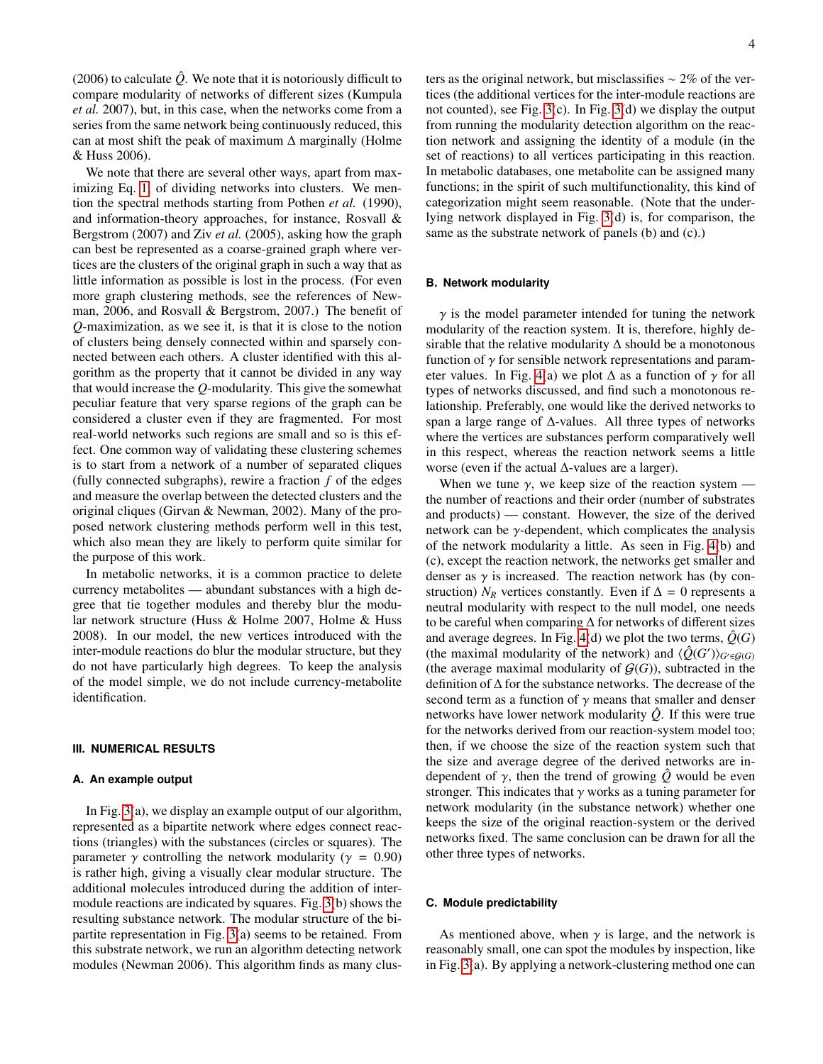(2006) to calculate  $\hat{Q}$ . We note that it is notoriously difficult to compare modularity of networks of different sizes (Kumpula *et al.* 2007), but, in this case, when the networks come from a series from the same network being continuously reduced, this can at most shift the peak of maximum ∆ marginally (Holme & Huss 2006).

We note that there are several other ways, apart from maximizing Eq. [1,](#page-2-2) of dividing networks into clusters. We mention the spectral methods starting from Pothen *et al.* (1990), and information-theory approaches, for instance, Rosvall & Bergstrom (2007) and Ziv *et al.* (2005), asking how the graph can best be represented as a coarse-grained graph where vertices are the clusters of the original graph in such a way that as little information as possible is lost in the process. (For even more graph clustering methods, see the references of Newman, 2006, and Rosvall & Bergstrom, 2007.) The benefit of *Q*-maximization, as we see it, is that it is close to the notion of clusters being densely connected within and sparsely connected between each others. A cluster identified with this algorithm as the property that it cannot be divided in any way that would increase the *Q*-modularity. This give the somewhat peculiar feature that very sparse regions of the graph can be considered a cluster even if they are fragmented. For most real-world networks such regions are small and so is this effect. One common way of validating these clustering schemes is to start from a network of a number of separated cliques (fully connected subgraphs), rewire a fraction *f* of the edges and measure the overlap between the detected clusters and the original cliques (Girvan & Newman, 2002). Many of the proposed network clustering methods perform well in this test, which also mean they are likely to perform quite similar for the purpose of this work.

In metabolic networks, it is a common practice to delete currency metabolites — abundant substances with a high degree that tie together modules and thereby blur the modular network structure (Huss & Holme 2007, Holme & Huss 2008). In our model, the new vertices introduced with the inter-module reactions do blur the modular structure, but they do not have particularly high degrees. To keep the analysis of the model simple, we do not include currency-metabolite identification.

## **III. NUMERICAL RESULTS**

## **A. An example output**

In Fig. [3\(](#page-4-0)a), we display an example output of our algorithm, represented as a bipartite network where edges connect reactions (triangles) with the substances (circles or squares). The parameter  $\gamma$  controlling the network modularity ( $\gamma = 0.90$ ) is rather high, giving a visually clear modular structure. The additional molecules introduced during the addition of intermodule reactions are indicated by squares. Fig. [3\(](#page-4-0)b) shows the resulting substance network. The modular structure of the bipartite representation in Fig. [3\(](#page-4-0)a) seems to be retained. From this substrate network, we run an algorithm detecting network modules (Newman 2006). This algorithm finds as many clusters as the original network, but misclassifies ∼ 2% of the vertices (the additional vertices for the inter-module reactions are not counted), see Fig. [3\(](#page-4-0)c). In Fig. [3\(](#page-4-0)d) we display the output from running the modularity detection algorithm on the reaction network and assigning the identity of a module (in the set of reactions) to all vertices participating in this reaction. In metabolic databases, one metabolite can be assigned many functions; in the spirit of such multifunctionality, this kind of categorization might seem reasonable. (Note that the underlying network displayed in Fig. [3\(](#page-4-0)d) is, for comparison, the same as the substrate network of panels (b) and (c).)

## **B. Network modularity**

 $\gamma$  is the model parameter intended for tuning the network modularity of the reaction system. It is, therefore, highly desirable that the relative modularity ∆ should be a monotonous function of  $\gamma$  for sensible network representations and param-eter values. In Fig. [4\(](#page-5-0)a) we plot  $\Delta$  as a function of  $\gamma$  for all types of networks discussed, and find such a monotonous relationship. Preferably, one would like the derived networks to span a large range of ∆-values. All three types of networks where the vertices are substances perform comparatively well in this respect, whereas the reaction network seems a little worse (even if the actual ∆-values are a larger).

When we tune  $\gamma$ , we keep size of the reaction system the number of reactions and their order (number of substrates and products) — constant. However, the size of the derived network can be  $\gamma$ -dependent, which complicates the analysis of the network modularity a little. As seen in Fig. [4\(](#page-5-0)b) and (c), except the reaction network, the networks get smaller and denser as  $\gamma$  is increased. The reaction network has (by construction)  $N_R$  vertices constantly. Even if  $\Delta = 0$  represents a neutral modularity with respect to the null model, one needs to be careful when comparing ∆ for networks of different sizes and average degrees. In Fig. [4\(](#page-5-0)d) we plot the two terms,  $\hat{Q}(G)$ (the maximal modularity of the network) and  $\langle \hat{Q}(G') \rangle_{G' \in \mathcal{G}(G)}$ (the average maximal modularity of  $G(G)$ ), subtracted in the definition of ∆ for the substance networks. The decrease of the second term as a function of  $\gamma$  means that smaller and denser networks have lower network modularity  $\hat{Q}$ . If this were true for the networks derived from our reaction-system model too; then, if we choose the size of the reaction system such that the size and average degree of the derived networks are independent of  $\gamma$ , then the trend of growing  $\hat{Q}$ <sup></sup> would be even stronger. This indicates that  $\gamma$  works as a tuning parameter for network modularity (in the substance network) whether one keeps the size of the original reaction-system or the derived networks fixed. The same conclusion can be drawn for all the other three types of networks.

# **C. Module predictability**

As mentioned above, when  $\gamma$  is large, and the network is reasonably small, one can spot the modules by inspection, like in Fig. [3\(](#page-4-0)a). By applying a network-clustering method one can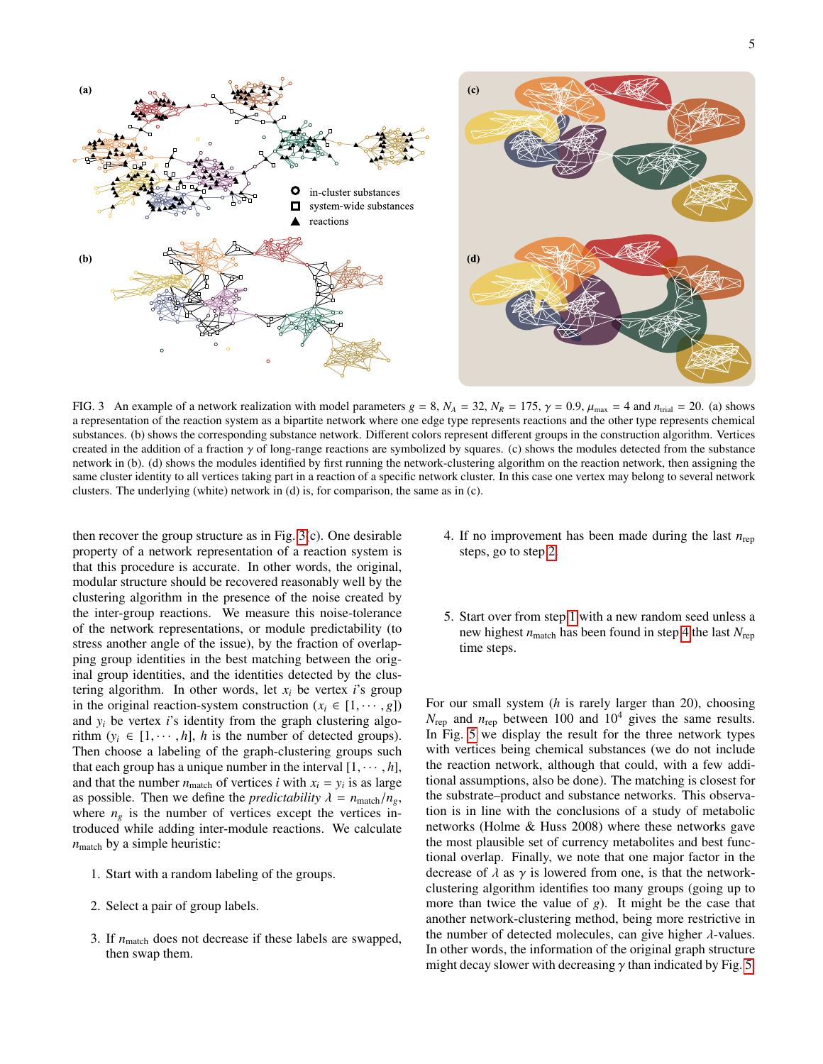

<span id="page-4-0"></span>FIG. 3 An example of a network realization with model parameters  $g = 8$ ,  $N_A = 32$ ,  $N_R = 175$ ,  $\gamma = 0.9$ ,  $\mu_{\text{max}} = 4$  and  $n_{\text{trial}} = 20$ . (a) shows a representation of the reaction system as a bipartite network where one edge type represents reactions and the other type represents chemical substances. (b) shows the corresponding substance network. Different colors represent different groups in the construction algorithm. Vertices created in the addition of a fraction  $\gamma$  of long-range reactions are symbolized by squares. (c) shows the modules detected from the substance network in (b). (d) shows the modules identified by first running the network-clustering algorithm on the reaction network, then assigning the same cluster identity to all vertices taking part in a reaction of a specific network cluster. In this case one vertex may belong to several network clusters. The underlying (white) network in (d) is, for comparison, the same as in (c).

then recover the group structure as in Fig. [3\(](#page-4-0)c). One desirable property of a network representation of a reaction system is that this procedure is accurate. In other words, the original, modular structure should be recovered reasonably well by the clustering algorithm in the presence of the noise created by the inter-group reactions. We measure this noise-tolerance of the network representations, or module predictability (to stress another angle of the issue), by the fraction of overlapping group identities in the best matching between the original group identities, and the identities detected by the clustering algorithm. In other words, let  $x_i$  be vertex *i*'s group in the original reaction-system construction  $(x_i \in [1, \dots, g])$ and  $y_i$  be vertex *i*'s identity from the graph clustering algorithm  $(y_i \in [1, \dots, h], h$  is the number of detected groups). Then choose a labeling of the graph-clustering groups such that each group has a unique number in the interval  $[1, \cdots, h]$ , and that the number  $n_{match}$  of vertices *i* with  $x_i = y_i$  is as large as possible. Then we define the *predictability*  $\lambda = n_{\text{match}}/n_g$ , where  $n_g$  is the number of vertices except the vertices introduced while adding inter-module reactions. We calculate  $n_{\text{match}}$  by a simple heuristic:

- <span id="page-4-2"></span>1. Start with a random labeling of the groups.
- <span id="page-4-1"></span>2. Select a pair of group labels.
- <span id="page-4-3"></span>3. If *n*match does not decrease if these labels are swapped, then swap them.
- 4. If no improvement has been made during the last  $n_{\text{ren}}$ steps, go to step [2.](#page-4-1)
- 5. Start over from step [1](#page-4-2) with a new random seed unless a new highest  $n_{\text{match}}$  has been found in step [4](#page-4-3) the last  $N_{\text{rep}}$ time steps.

For our small system (*h* is rarely larger than 20), choosing  $N_{\text{rep}}$  and  $n_{\text{rep}}$  between 100 and 10<sup>4</sup> gives the same results. In Fig. [5](#page-5-1) we display the result for the three network types with vertices being chemical substances (we do not include the reaction network, although that could, with a few additional assumptions, also be done). The matching is closest for the substrate–product and substance networks. This observation is in line with the conclusions of a study of metabolic networks (Holme & Huss 2008) where these networks gave the most plausible set of currency metabolites and best functional overlap. Finally, we note that one major factor in the decrease of  $\lambda$  as  $\gamma$  is lowered from one, is that the networkclustering algorithm identifies too many groups (going up to more than twice the value of *g*). It might be the case that another network-clustering method, being more restrictive in the number of detected molecules, can give higher  $\lambda$ -values. In other words, the information of the original graph structure might decay slower with decreasing  $\gamma$  than indicated by Fig. [5.](#page-5-1)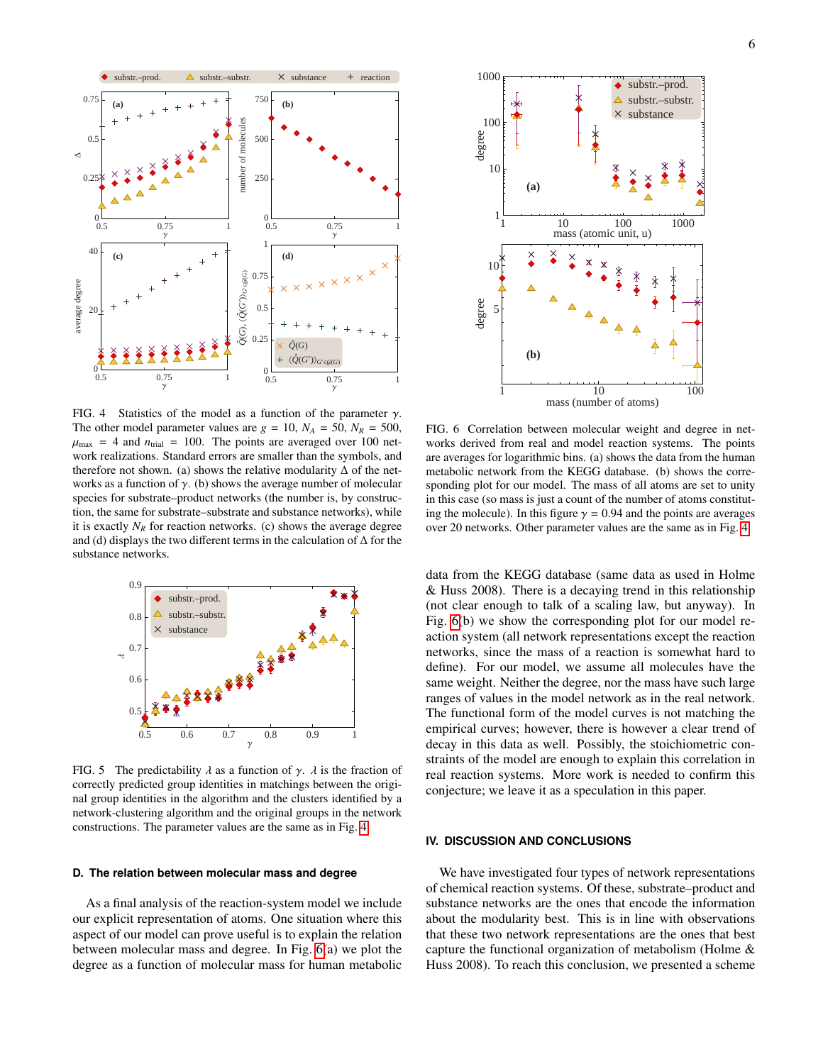

<span id="page-5-0"></span>FIG. 4 Statistics of the model as a function of the parameter  $\gamma$ . The other model parameter values are  $g = 10$ ,  $N_A = 50$ ,  $N_R = 500$ ,  $\mu_{\text{max}}$  = 4 and  $n_{\text{trial}}$  = 100. The points are averaged over 100 network realizations. Standard errors are smaller than the symbols, and therefore not shown. (a) shows the relative modularity ∆ of the networks as a function of  $\gamma$ . (b) shows the average number of molecular species for substrate–product networks (the number is, by construction, the same for substrate–substrate and substance networks), while it is exactly  $N_R$  for reaction networks. (c) shows the average degree and (d) displays the two different terms in the calculation of ∆ for the substance networks.



<span id="page-5-1"></span>FIG. 5 The predictability  $\lambda$  as a function of  $\gamma$ .  $\lambda$  is the fraction of correctly predicted group identities in matchings between the original group identities in the algorithm and the clusters identified by a network-clustering algorithm and the original groups in the network constructions. The parameter values are the same as in Fig. [4.](#page-5-0)

#### **D. The relation between molecular mass and degree**

As a final analysis of the reaction-system model we include our explicit representation of atoms. One situation where this aspect of our model can prove useful is to explain the relation between molecular mass and degree. In Fig. [6\(](#page-5-2)a) we plot the degree as a function of molecular mass for human metabolic



<span id="page-5-2"></span>FIG. 6 Correlation between molecular weight and degree in networks derived from real and model reaction systems. The points are averages for logarithmic bins. (a) shows the data from the human metabolic network from the KEGG database. (b) shows the corresponding plot for our model. The mass of all atoms are set to unity in this case (so mass is just a count of the number of atoms constituting the molecule). In this figure  $\gamma = 0.94$  and the points are averages over 20 networks. Other parameter values are the same as in Fig. [4.](#page-5-0)

data from the KEGG database (same data as used in Holme & Huss 2008). There is a decaying trend in this relationship (not clear enough to talk of a scaling law, but anyway). In Fig. [6\(](#page-5-2)b) we show the corresponding plot for our model reaction system (all network representations except the reaction networks, since the mass of a reaction is somewhat hard to define). For our model, we assume all molecules have the same weight. Neither the degree, nor the mass have such large ranges of values in the model network as in the real network. The functional form of the model curves is not matching the empirical curves; however, there is however a clear trend of decay in this data as well. Possibly, the stoichiometric constraints of the model are enough to explain this correlation in real reaction systems. More work is needed to confirm this conjecture; we leave it as a speculation in this paper.

# **IV. DISCUSSION AND CONCLUSIONS**

We have investigated four types of network representations of chemical reaction systems. Of these, substrate–product and substance networks are the ones that encode the information about the modularity best. This is in line with observations that these two network representations are the ones that best capture the functional organization of metabolism (Holme & Huss 2008). To reach this conclusion, we presented a scheme